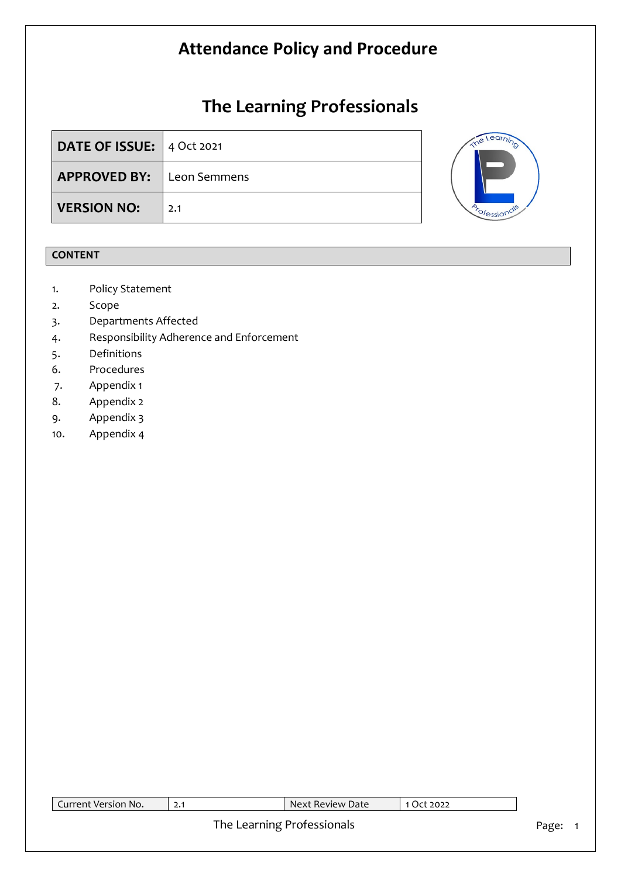# **The Learning Professionals**

| <b>DATE OF ISSUE:</b> 4 Oct 2021 |     |
|----------------------------------|-----|
| <b>APPROVED BY:</b> Leon Semmens |     |
| <b>VERSION NO:</b>               | 2.1 |



### **CONTENT**

- 1. Policy Statement
- 2. Scope
- 3. Departments Affected
- 4. Responsibility Adherence and Enforcement
- 5. Definitions
- 6. Procedures
- 7. Appendix 1
- 8. Appendix 2
- 9. Appendix 3
- 10. Appendix 4

| Current Version No. |      | Next Review Date |  |
|---------------------|------|------------------|--|
|                     | TL 1 |                  |  |

### The Learning Professionals **Page:** 1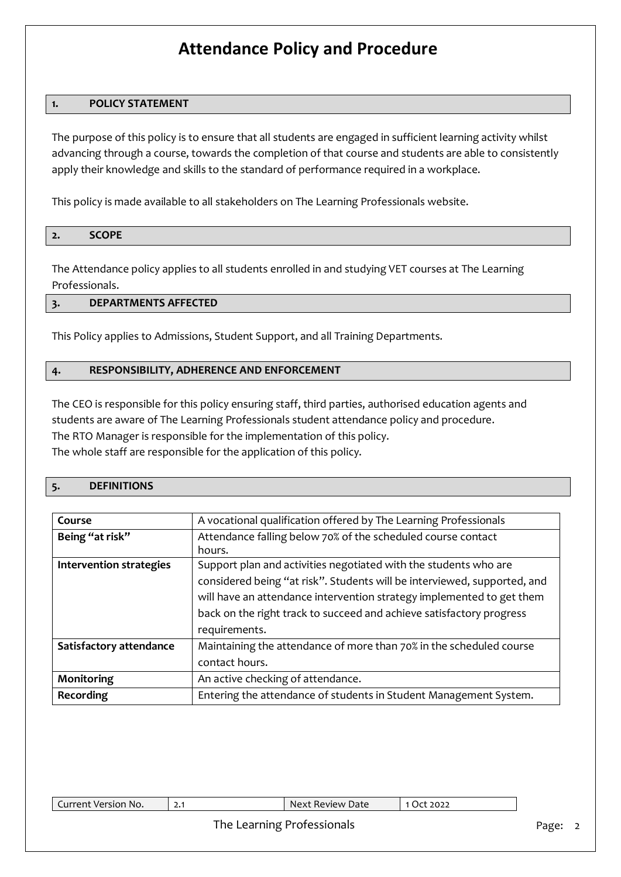#### **1. POLICY STATEMENT**

The purpose of this policy is to ensure that all students are engaged in sufficient learning activity whilst advancing through a course, towards the completion of that course and students are able to consistently apply their knowledge and skills to the standard of performance required in a workplace.

This policy is made available to all stakeholders on The Learning Professionals website.

| $\epsilon$ | $C$ $C$ $D$ $D$<br>- 112<br>$ -$ |  |
|------------|----------------------------------|--|

The Attendance policy applies to all students enrolled in and studying VET courses at The Learning Professionals.

### **3. DEPARTMENTS AFFECTED**

This Policy applies to Admissions, Student Support, and all Training Departments.

#### **4. RESPONSIBILITY, ADHERENCE AND ENFORCEMENT**

The CEO is responsible for this policy ensuring staff, third parties, authorised education agents and students are aware of The Learning Professionals student attendance policy and procedure. The RTO Manager is responsible for the implementation of this policy. The whole staff are responsible for the application of this policy.

#### **5. DEFINITIONS**

| Course                         | A vocational qualification offered by The Learning Professionals         |  |  |  |  |
|--------------------------------|--------------------------------------------------------------------------|--|--|--|--|
| Being "at risk"                | Attendance falling below 70% of the scheduled course contact             |  |  |  |  |
|                                | hours.                                                                   |  |  |  |  |
| <b>Intervention strategies</b> | Support plan and activities negotiated with the students who are         |  |  |  |  |
|                                | considered being "at risk". Students will be interviewed, supported, and |  |  |  |  |
|                                | will have an attendance intervention strategy implemented to get them    |  |  |  |  |
|                                | back on the right track to succeed and achieve satisfactory progress     |  |  |  |  |
|                                | requirements.                                                            |  |  |  |  |
| Satisfactory attendance        | Maintaining the attendance of more than 70% in the scheduled course      |  |  |  |  |
|                                | contact hours.                                                           |  |  |  |  |
| Monitoring                     | An active checking of attendance.                                        |  |  |  |  |
| Recording                      | Entering the attendance of students in Student Management System.        |  |  |  |  |

| Current Version No. | ا • 4 | : Review Date<br>Next | 2022 |
|---------------------|-------|-----------------------|------|
|                     |       |                       |      |

#### The Learning Professionals **Page: 2** Page: 2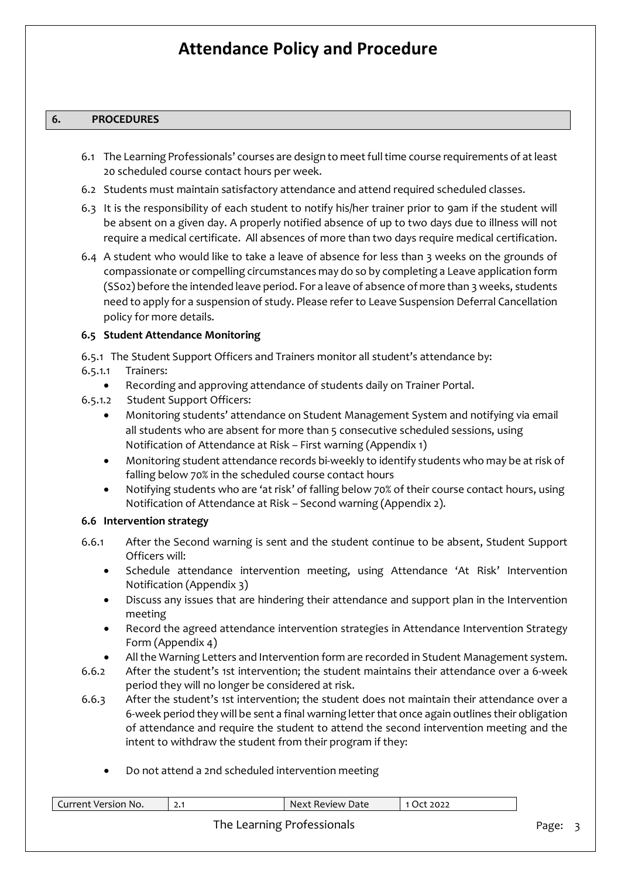#### **6. PROCEDURES**

- 6.1 The Learning Professionals' courses are design to meet full time course requirements of at least 20 scheduled course contact hours per week.
- 6.2 Students must maintain satisfactory attendance and attend required scheduled classes.
- 6.3 It is the responsibility of each student to notify his/her trainer prior to 9am if the student will be absent on a given day. A properly notified absence of up to two days due to illness will not require a medical certificate. All absences of more than two days require medical certification.
- 6.4 A student who would like to take a leave of absence for less than 3 weeks on the grounds of compassionate or compelling circumstances may do so by completing a Leave application form (SS02) before the intended leave period. For a leave of absence of more than 3 weeks, students need to apply for a suspension of study. Please refer to Leave Suspension Deferral Cancellation policy for more details.

#### **6.5 Student Attendance Monitoring**

- 6.5.1 The Student Support Officers and Trainers monitor all student's attendance by:
- 6.5.1.1 Trainers:
	- Recording and approving attendance of students daily on Trainer Portal.
- 6.5.1.2 Student Support Officers:
	- Monitoring students' attendance on Student Management System and notifying via email all students who are absent for more than 5 consecutive scheduled sessions, using Notification of Attendance at Risk – First warning (Appendix 1)
	- Monitoring student attendance records bi-weekly to identify students who may be at risk of falling below 70% in the scheduled course contact hours
	- Notifying students who are 'at risk' of falling below 70% of their course contact hours, using Notification of Attendance at Risk – Second warning (Appendix 2).

#### **6.6 Intervention strategy**

- 6.6.1 After the Second warning is sent and the student continue to be absent, Student Support Officers will:
	- Schedule attendance intervention meeting, using Attendance 'At Risk' Intervention Notification (Appendix 3)
	- Discuss any issues that are hindering their attendance and support plan in the Intervention meeting
	- Record the agreed attendance intervention strategies in Attendance Intervention Strategy Form (Appendix 4)
	- All the Warning Letters and Intervention form are recorded in Student Management system.
- 6.6.2 After the student's 1st intervention; the student maintains their attendance over a 6-week period they will no longer be considered at risk.
- 6.6.3 After the student's 1st intervention; the student does not maintain their attendance over a 6-week period they will be sent a final warning letter that once again outlines their obligation of attendance and require the student to attend the second intervention meeting and the intent to withdraw the student from their program if they:
	- Do not attend a 2nd scheduled intervention meeting

| Current Version No. |                            | Next Review Date | 1 Oct 2022 |       |  |
|---------------------|----------------------------|------------------|------------|-------|--|
|                     | The Learning Professionals |                  |            | Page: |  |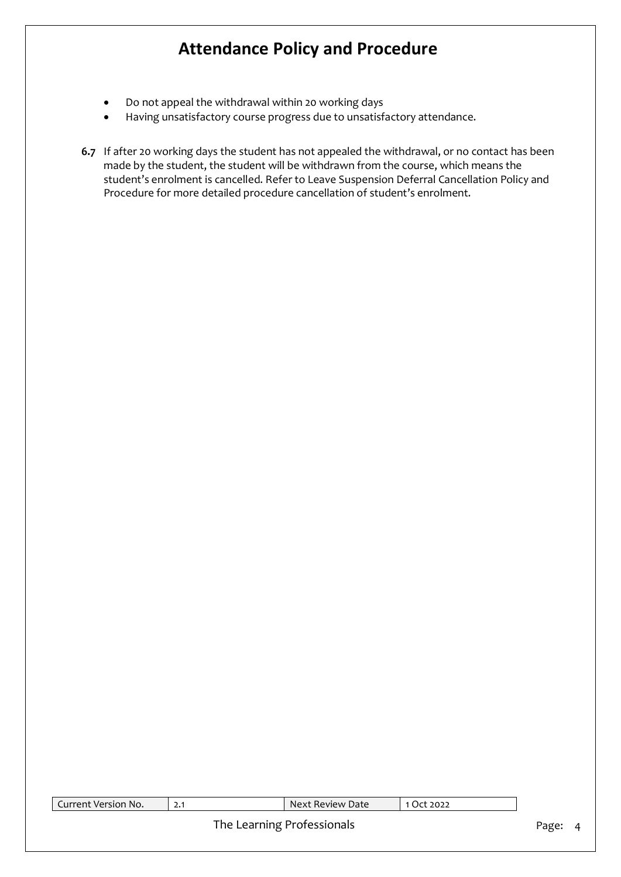- Do not appeal the withdrawal within 20 working days
- Having unsatisfactory course progress due to unsatisfactory attendance.
- **6.7** If after 20 working days the student has not appealed the withdrawal, or no contact has been made by the student, the student will be withdrawn from the course, which means the student's enrolment is cancelled. Refer to Leave Suspension Deferral Cancellation Policy and Procedure for more detailed procedure cancellation of student's enrolment.

2.1 Next Review Date 1 Oct 2022

#### The Learning Professionals **Page: 4** Page: 4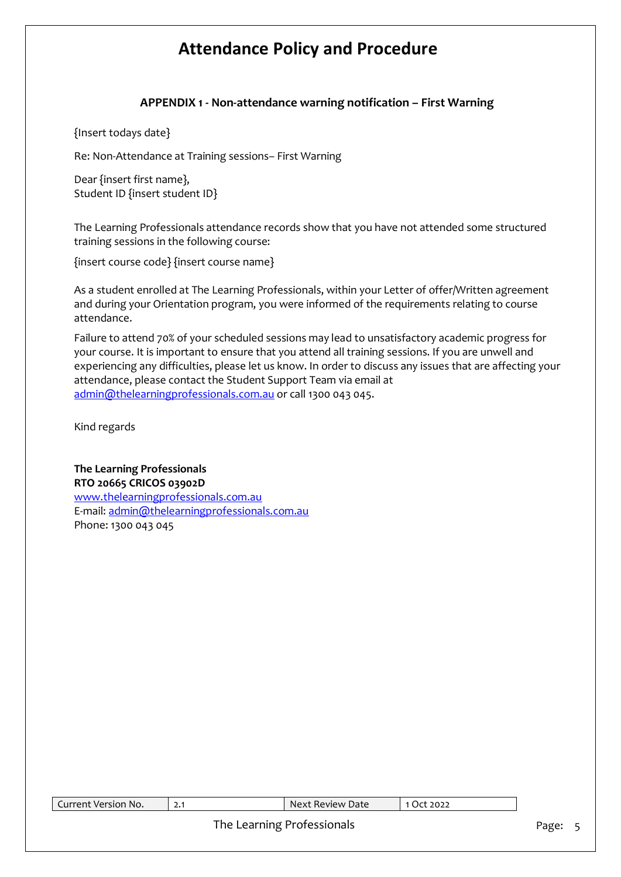### **APPENDIX 1 - Non-attendance warning notification – First Warning**

{Insert todays date}

Re: Non-Attendance at Training sessions– First Warning

Dear {insert first name}, Student ID {insert student ID}

The Learning Professionals attendance records show that you have not attended some structured training sessions in the following course:

{insert course code} {insert course name}

As a student enrolled at The Learning Professionals, within your Letter of offer/Written agreement and during your Orientation program, you were informed of the requirements relating to course attendance.

Failure to attend 70% of your scheduled sessions may lead to unsatisfactory academic progress for your course. It is important to ensure that you attend all training sessions. If you are unwell and experiencing any difficulties, please let us know. In order to discuss any issues that are affecting your attendance, please contact the Student Support Team via email at [admin@thelearningprofessionals.com.au](mailto:admin@thelearningprofessionals.com.au) or call 1300 043 045.

Kind regards

**The Learning Professionals RTO 20665 CRICOS 03902D** [www.thelearningprofessionals.com.au](https://lpcomm.sharepoint.com/sites/TheLearningProfessionals/In%20Progress/Hien/The%20Learning%20Professionals/Policy/Proofread/www.thelearningprofessionals.com.au) E-mail: [admin@thelearningprofessionals.com.au](mailto:admin@thelearningprofessionals.com.au) Phone: 1300 043 045

| Current Version No. | Next Review Date           | 1 Oct 2022 |       |  |
|---------------------|----------------------------|------------|-------|--|
|                     | The Learning Professionals |            | Page: |  |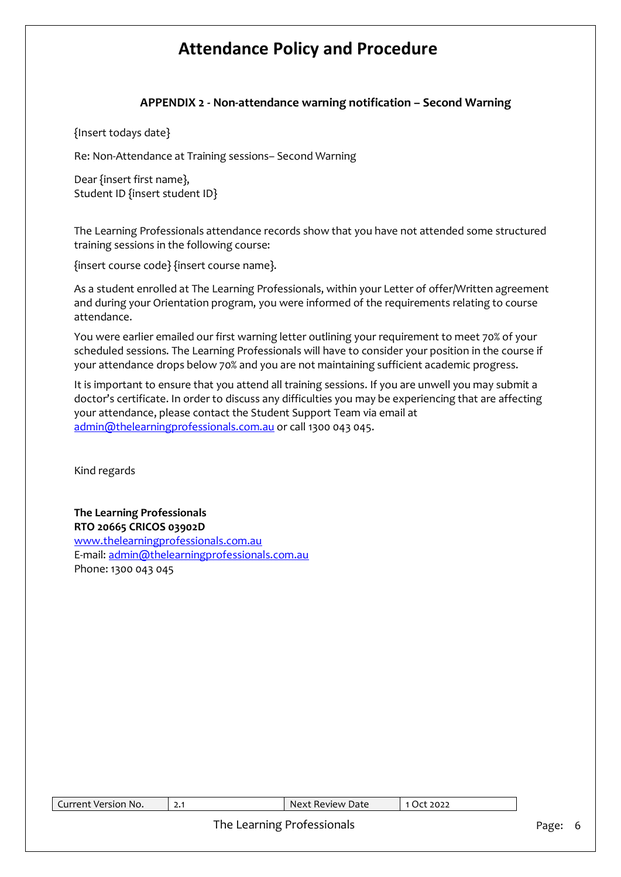### **APPENDIX 2 - Non-attendance warning notification – Second Warning**

{Insert todays date}

Re: Non-Attendance at Training sessions– Second Warning

Dear {insert first name}, Student ID {insert student ID}

The Learning Professionals attendance records show that you have not attended some structured training sessions in the following course:

{insert course code} {insert course name}.

As a student enrolled at The Learning Professionals, within your Letter of offer/Written agreement and during your Orientation program, you were informed of the requirements relating to course attendance.

You were earlier emailed our first warning letter outlining your requirement to meet 70% of your scheduled sessions. The Learning Professionals will have to consider your position in the course if your attendance drops below 70% and you are not maintaining sufficient academic progress.

It is important to ensure that you attend all training sessions. If you are unwell you may submit a doctor's certificate. In order to discuss any difficulties you may be experiencing that are affecting your attendance, please contact the Student Support Team via email at [admin@thelearningprofessionals.com.au](mailto:admin@thelearningprofessionals.com.au) or call 1300 043 045.

Kind regards

**The Learning Professionals RTO 20665 CRICOS 03902D** [www.thelearningprofessionals.com.au](https://lpcomm.sharepoint.com/sites/TheLearningProfessionals/In%20Progress/Hien/The%20Learning%20Professionals/Policy/Proofread/www.thelearningprofessionals.com.au) E-mail: [admin@thelearningprofessionals.com.au](mailto:admin@thelearningprofessionals.com.au) Phone: 1300 043 045

| Current Version No. |  | $\blacksquare$ Next Review Date | 1 Oct 2022 |       |
|---------------------|--|---------------------------------|------------|-------|
|                     |  | The Learning Professionals      |            | Page: |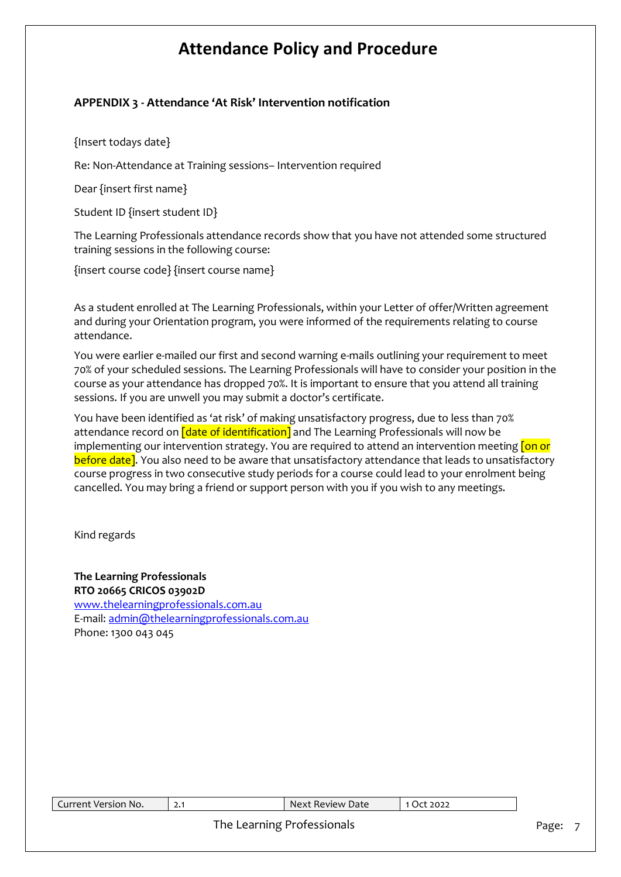### **APPENDIX 3 - Attendance 'At Risk' Intervention notification**

{Insert todays date}

Re: Non-Attendance at Training sessions– Intervention required

Dear {insert first name}

Student ID {insert student ID}

The Learning Professionals attendance records show that you have not attended some structured training sessions in the following course:

{insert course code} {insert course name}

As a student enrolled at The Learning Professionals, within your Letter of offer/Written agreement and during your Orientation program, you were informed of the requirements relating to course attendance.

You were earlier e-mailed our first and second warning e-mails outlining your requirement to meet 70% of your scheduled sessions. The Learning Professionals will have to consider your position in the course as your attendance has dropped 70%. It is important to ensure that you attend all training sessions. If you are unwell you may submit a doctor's certificate.

You have been identified as 'at risk' of making unsatisfactory progress, due to less than 70% attendance record on  $\int$  date of identification] and The Learning Professionals will now be implementing our intervention strategy. You are required to attend an intervention meeting *[on or* before date]. You also need to be aware that unsatisfactory attendance that leads to unsatisfactory course progress in two consecutive study periods for a course could lead to your enrolment being cancelled. You may bring a friend or support person with you if you wish to any meetings.

Kind regards

**The Learning Professionals RTO 20665 CRICOS 03902D** [www.thelearningprofessionals.com.au](https://lpcomm.sharepoint.com/sites/TheLearningProfessionals/In%20Progress/Hien/The%20Learning%20Professionals/Policy/Proofread/www.thelearningprofessionals.com.au) E-mail: [admin@thelearningprofessionals.com.au](mailto:admin@thelearningprofessionals.com.au) Phone: 1300 043 045

| Current Version No. | 2.1 | Next Review Date           | 1 Oct 2022 |       |
|---------------------|-----|----------------------------|------------|-------|
|                     |     | The Learning Professionals |            | Page: |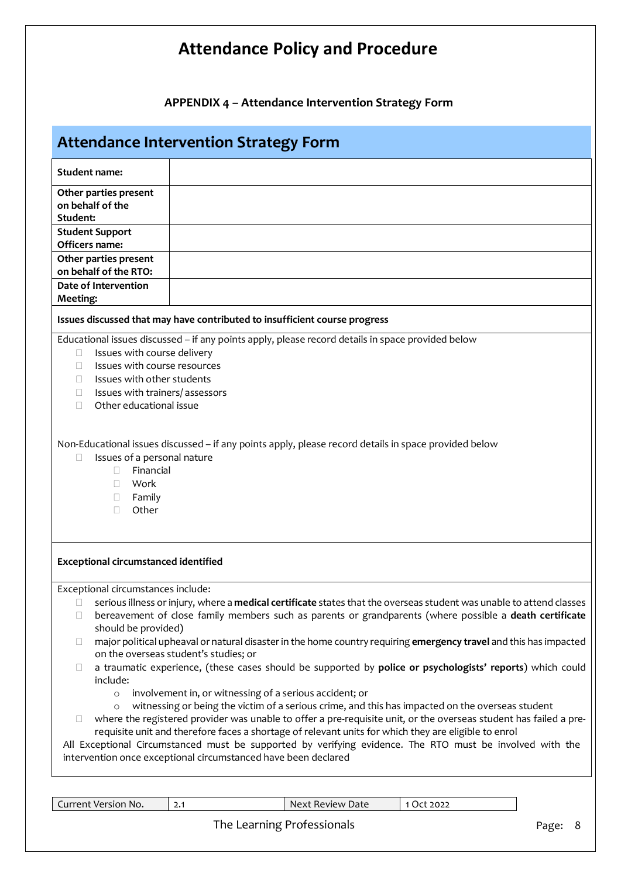**APPENDIX 4 – Attendance Intervention Strategy Form**

### **Attendance Intervention Strategy Form**

| <b>Student name:</b>                                                                                                                                                                                          |                                                                                                                                                                                                                                 |  |  |  |
|---------------------------------------------------------------------------------------------------------------------------------------------------------------------------------------------------------------|---------------------------------------------------------------------------------------------------------------------------------------------------------------------------------------------------------------------------------|--|--|--|
| Other parties present                                                                                                                                                                                         |                                                                                                                                                                                                                                 |  |  |  |
| on behalf of the<br>Student:                                                                                                                                                                                  |                                                                                                                                                                                                                                 |  |  |  |
| <b>Student Support</b>                                                                                                                                                                                        |                                                                                                                                                                                                                                 |  |  |  |
| Officers name:                                                                                                                                                                                                |                                                                                                                                                                                                                                 |  |  |  |
| Other parties present<br>on behalf of the RTO:                                                                                                                                                                |                                                                                                                                                                                                                                 |  |  |  |
| Date of Intervention                                                                                                                                                                                          |                                                                                                                                                                                                                                 |  |  |  |
| Meeting:                                                                                                                                                                                                      |                                                                                                                                                                                                                                 |  |  |  |
|                                                                                                                                                                                                               | Issues discussed that may have contributed to insufficient course progress                                                                                                                                                      |  |  |  |
|                                                                                                                                                                                                               | Educational issues discussed - if any points apply, please record details in space provided below                                                                                                                               |  |  |  |
| Issues with course delivery<br>0                                                                                                                                                                              |                                                                                                                                                                                                                                 |  |  |  |
| Issues with course resources<br>Ш                                                                                                                                                                             |                                                                                                                                                                                                                                 |  |  |  |
| Issues with other students<br>O<br>Issues with trainers/ assessors<br>O                                                                                                                                       |                                                                                                                                                                                                                                 |  |  |  |
| Other educational issue<br>п                                                                                                                                                                                  |                                                                                                                                                                                                                                 |  |  |  |
|                                                                                                                                                                                                               |                                                                                                                                                                                                                                 |  |  |  |
| Non-Educational issues discussed - if any points apply, please record details in space provided below<br>Issues of a personal nature<br>П.<br>Financial<br>П.<br>Work<br>П.<br>Family<br>$\Box$<br>Other<br>П |                                                                                                                                                                                                                                 |  |  |  |
| <b>Exceptional circumstanced identified</b>                                                                                                                                                                   |                                                                                                                                                                                                                                 |  |  |  |
| Exceptional circumstances include:                                                                                                                                                                            |                                                                                                                                                                                                                                 |  |  |  |
| п                                                                                                                                                                                                             | serious illness or injury, where a medical certificate states that the overseas student was unable to attend classes<br>bereavement of close family members such as parents or grandparents (where possible a death certificate |  |  |  |
| u<br>should be provided)                                                                                                                                                                                      |                                                                                                                                                                                                                                 |  |  |  |
| □                                                                                                                                                                                                             | major political upheaval or natural disaster in the home country requiring emergency travel and this has impacted                                                                                                               |  |  |  |
|                                                                                                                                                                                                               | on the overseas student's studies; or                                                                                                                                                                                           |  |  |  |
| □<br>include:                                                                                                                                                                                                 | a traumatic experience, (these cases should be supported by police or psychologists' reports) which could                                                                                                                       |  |  |  |
| $\circ$                                                                                                                                                                                                       | involvement in, or witnessing of a serious accident; or                                                                                                                                                                         |  |  |  |
| $\circ$                                                                                                                                                                                                       | witnessing or being the victim of a serious crime, and this has impacted on the overseas student                                                                                                                                |  |  |  |
| u                                                                                                                                                                                                             | where the registered provider was unable to offer a pre-requisite unit, or the overseas student has failed a pre-                                                                                                               |  |  |  |
|                                                                                                                                                                                                               | requisite unit and therefore faces a shortage of relevant units for which they are eligible to enrol                                                                                                                            |  |  |  |
|                                                                                                                                                                                                               | All Exceptional Circumstanced must be supported by verifying evidence. The RTO must be involved with the                                                                                                                        |  |  |  |
|                                                                                                                                                                                                               | intervention once exceptional circumstanced have been declared                                                                                                                                                                  |  |  |  |
|                                                                                                                                                                                                               |                                                                                                                                                                                                                                 |  |  |  |

Current Version No. 2.1 2.1 Next Review Date 1 Oct 2022